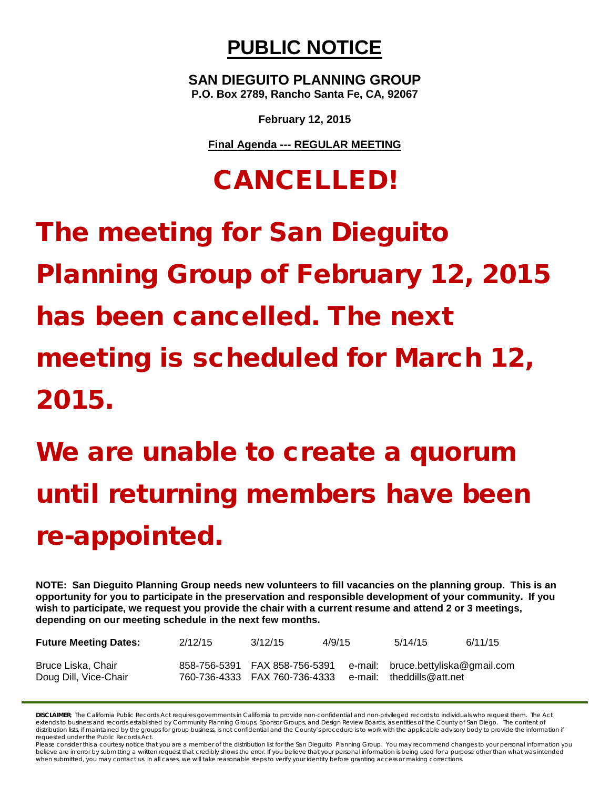## **PUBLIC NOTICE**

**SAN DIEGUITO PLANNING GROUP P.O. Box 2789, Rancho Santa Fe, CA, 92067**

**February 12, 2015**

**Final Agenda --- REGULAR MEETING**

## CANCELLED!

## The meeting for San Dieguito Planning Group of February 12, 2015 has been cancelled. The next meeting is scheduled for March 12, 2015.

## We are unable to create a quorum until returning members have been re-appointed.

**NOTE: San Dieguito Planning Group needs new volunteers to fill vacancies on the planning group. This is an opportunity for you to participate in the preservation and responsible development of your community. If you wish to participate, we request you provide the chair with a current resume and attend 2 or 3 meetings, depending on our meeting schedule in the next few months.**

| <b>Future Meeting Dates:</b>                | 2/12/15                       | 3/12/15                       | 4/9/15  | 5/14/15                                                 | 6/11/15 |
|---------------------------------------------|-------------------------------|-------------------------------|---------|---------------------------------------------------------|---------|
| Bruce Liska, Chair<br>Doug Dill, Vice-Chair | 858-756-5391 FAX 858-756-5391 | 760-736-4333 FAX 760-736-4333 | e-mail: | e-mail: bruce.bettyliska@gmail.com<br>theddills@att.net |         |

*DISCLAIMER; The California Public Records Act requires governments in California to provide non-confidential and non-privileged records to individuals who request them. The Act extends to business and records established by Community Planning Groups, Sponsor Groups, and Design Review Boards, as entities of the County of San Diego. The content of*  distribution lists, if maintained by the groups for group business, is not confidential and the County's procedure is to work with the applicable advisory body to provide the information if *requested under the Public Records Act.*

*Please consider this a courtesy notice that you are a member of the distribution list for the San Dieguito Planning Group. You may recommend changes to your personal information you*  believe are in error by submitting a written request that credibly shows the error. If you believe that your personal information is being used for a purpose other than what was intended *when submitted, you may contact us. In all cases, we will take reasonable steps to verify your identity before granting access or making corrections.*